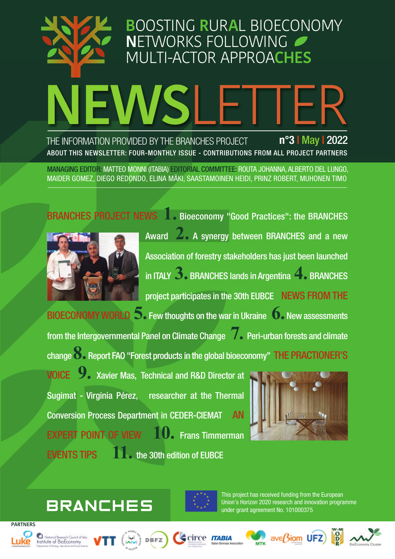# **NEWS**LETTER **B**OOSTING **R**UR**A**L BIOECONOMY **N**ETWORKS FOLLOWING MULTI-ACTOR APPROA**CHES** THE INFORMATION PROVIDED BY THE BRANCHES PROJECT **n°3 |** May **|** 2022 ABOUT THIS NEWSLETTER: FOUR-MONTHLY ISSUE - CONTRIBUTIONS FROM ALL PROJECT PARTNERS

MANAGING EDITOR: MATTEO MONNI (ITABIA) EDITORIAL COMMITTEE: ROUTA JOHANNA, ALBERTO DEL LUNGO, MAIDER GOMEZ, DIEGO REDONDO, ELINA MÄKI, SAASTAMOINEN HEIDI, PRINZ ROBERT, MUHONEN TIMO



Award **2.** <sup>A</sup> synergy between BRANCHES and <sup>a</sup> new Association of forestry stakeholders has just been launched in ITALY **3.** BRANCHES lands in Argentina **4.** BRANCHES project participates in the 30th EUBCE NEWS FROM THE BIOECONOMYWORLD **5.** Fewthoughts on thewar in Ukraine **6.** Newassessments from the Intergovernmental Panel on Climate Change **7.** Peri-urban forests and climate change**8.** Report FAO "Forest products in the global bioeconomy" THE PRACTIONER'S

VOICE **9.** Xavier Mas, Technical and R&D Director at Sugimat - Virginia Pérez, researcher at the Thermal Conversion Process Department in CEDER-CIEMAT AN EXPERT POINT OF VIEW **10.** Frans Timmerman EVENTS TIPS **11.** the 30th edition of EUBCE



# **BRANCHES**



This project has received funding from the European Union's Horizon 2020 research and innovation programme under grant agreement No. 101000375









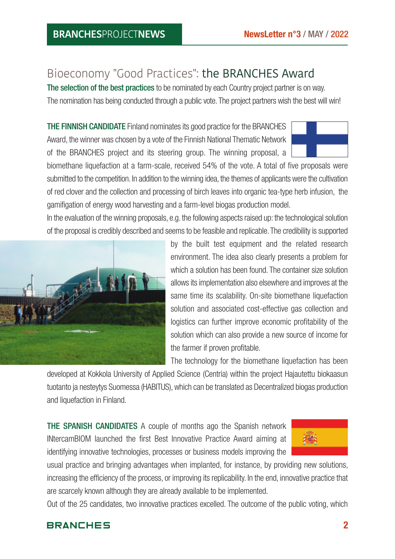# Bioeconomy "Good Practices": the BRANCHES Award

The selection of the best practices to be nominated by each Country project partner is on way. The nomination has being conducted through a public vote. The project partners wish the best will win!

THE FINNISH CANDIDATE Finland nominates its good practice for the BRANCHES Award, the winner was chosen by a vote of the Finnish National Thematic Network of the BRANCHES project and its steering group. The winning proposal, a

biomethane liquefaction at a farm-scale, received 54% of the vote. A total of five proposals were submitted to the competition. In addition to the winning idea, the themes of applicants were the cultivation of red clover and the collection and processing of birch leaves into organic tea-type herb infusion, the gamifigation of energy wood harvesting and a farm-level biogas production model.

In the evaluation of the winning proposals, e.g. the following aspects raised up: the technological solution of the proposal is credibly described and seems to be feasible and replicable. The credibility is supported



by the built test equipment and the related research environment. The idea also clearly presents a problem for which a solution has been found. The container size solution allows its implementation also elsewhere and improves at the same time its scalability. On-site biomethane liquefaction solution and associated cost-effective gas collection and logistics can further improve economic profitability of the solution which can also provide a new source of income for the farmer if proven profitable.

The technology for the biomethane liquefaction has been

developed at Kokkola University of Applied Science (Centria) within the project Hajautettu biokaasun tuotanto ja nesteytys Suomessa (HABITUS), which can be translated as Decentralized biogas production and liquefaction in Finland.

THE SPANISH CANDIDATES A couple of months ago the Spanish network INtercamBIOM launched the first Best Innovative Practice Award aiming at identifying innovative technologies, processes or business models improving the



usual practice and bringing advantages when implanted, for instance, by providing new solutions, increasing the efficiency of the process, or improving its replicability. In the end, innovative practice that are scarcely known although they are already available to be implemented.

Out of the 25 candidates, two innovative practices excelled. The outcome of the public voting, which

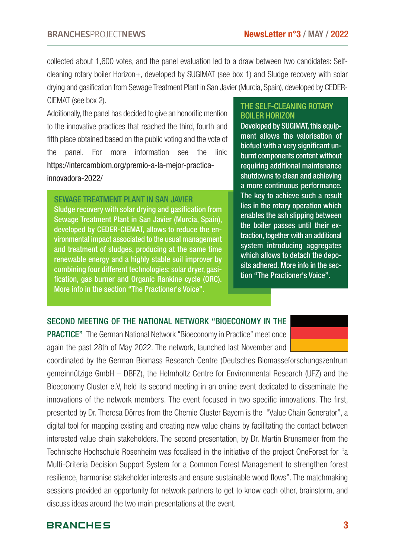collected about 1,600 votes, and the panel evaluation led to a draw between two candidates: Selfcleaning rotary boiler Horizon+, developed by SUGIMAT (see box 1) and Sludge recovery with solar drying and gasification from Sewage Treatment Plant in San Javier (Murcia, Spain), developed by CEDER-CIEMAT (see box 2).

Additionally, the panel has decided to give an honorific mention to the innovative practices that reached the third, fourth and fifth place obtained based on the public voting and the vote of the panel. For more information see the link: https://intercambiom.org/premio-a-la-mejor-practicainnovadora-2022/

#### SEWAGE TREATMENT PLANT IN SAN JAVIER

Sludge recovery with solar drying and gasification from Sewage Treatment Plant in San Javier (Murcia, Spain), developed by CEDER-CIEMAT, allows to reduce the environmental impact associated to the usual management and treatment of sludges, producing at the same time renewable energy and a highly stable soil improver by combining four different technologies: solar dryer, gasification, gas burner and Organic Rankine cycle (ORC). More info in the section "The Practioner's Voice".

#### THE SELF-CLEANING ROTARY BOILER HORIZON

Developed by SUGIMAT, this equipment allows the valorisation of biofuel with a very significant unburnt components content without requiring additional maintenance shutdowns to clean and achieving a more continuous performance. The key to achieve such a result lies in the rotary operation which enables the ash slipping between the boiler passes until their extraction, together with an additional system introducing aggregates which allows to detach the deposits adhered. More info in the section "The Practioner's Voice".

#### SECOND MEETING OF THE NATIONAL NETWORK "BIOECONOMY IN THE

PRACTICE" The German National Network "Bioeconomy in Practice" meet once again the past 28th of May 2022. The network, launched last November and

coordinated by the German Biomass Research Centre (Deutsches Biomasseforschungszentrum gemeinnützige GmbH – DBFZ), the Helmholtz Centre for Environmental Research (UFZ) and the Bioeconomy Cluster e.V, held its second meeting in an online event dedicated to disseminate the innovations of the network members. The event focused in two specific innovations. The first, presented by Dr. Theresa Dörres from the Chemie Cluster Bayern is the "Value Chain Generator", a digital tool for mapping existing and creating new value chains by facilitating the contact between interested value chain stakeholders. The second presentation, by Dr. Martin Brunsmeier from the Technische Hochschule Rosenheim was focalised in the initiative of the project OneForest for "a Multi-Criteria Decision Support System for a Common Forest Management to strengthen forest resilience, harmonise stakeholder interests and ensure sustainable wood flows". The matchmaking sessions provided an opportunity for network partners to get to know each other, brainstorm, and discuss ideas around the two main presentations at the event.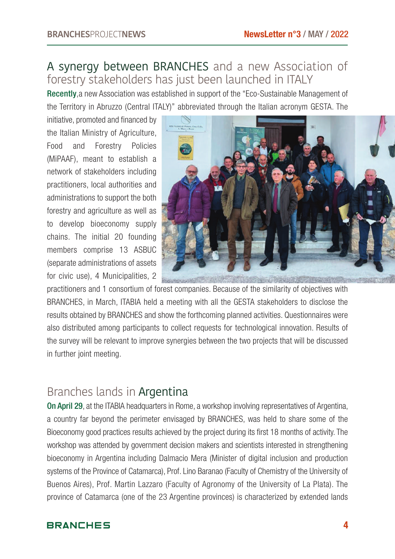# A synergy between BRANCHES and a new Association of forestry stakeholders has just been launched in ITALY

Recently,a new Association was established in support of the "Eco-Sustainable Management of the Territory in Abruzzo (Central ITALY)" abbreviated through the Italian acronym GESTA. The

initiative, promoted and financed by the Italian Ministry of Agriculture, Food and Forestry Policies (MiPAAF), meant to establish a network of stakeholders including practitioners, local authorities and administrations to support the both forestry and agriculture as well as to develop bioeconomy supply chains. The initial 20 founding members comprise 13 ASBUC (separate administrations of assets for civic use), 4 Municipalities, 2



practitioners and 1 consortium of forest companies. Because of the similarity of objectives with BRANCHES, in March, ITABIA held a meeting with all the GESTA stakeholders to disclose the results obtained by BRANCHES and show the forthcoming planned activities. Questionnaires were also distributed among participants to collect requests for technological innovation. Results of the survey will be relevant to improve synergies between the two projects that will be discussed in further joint meeting.

# Branches lands in Argentina

On April 29, at the ITABIA headquarters in Rome, a workshop involving representatives of Argentina, a country far beyond the perimeter envisaged by BRANCHES, was held to share some of the Bioeconomy good practices results achieved by the project during its first 18 months of activity. The workshop was attended by government decision makers and scientists interested in strengthening bioeconomy in Argentina including Dalmacio Mera (Minister of digital inclusion and production systems of the Province of Catamarca), Prof. Lino Baranao (Faculty of Chemistry of the University of Buenos Aires), Prof. Martin Lazzaro (Faculty of Agronomy of the University of La Plata). The province of Catamarca (one of the 23 Argentine provinces) is characterized by extended lands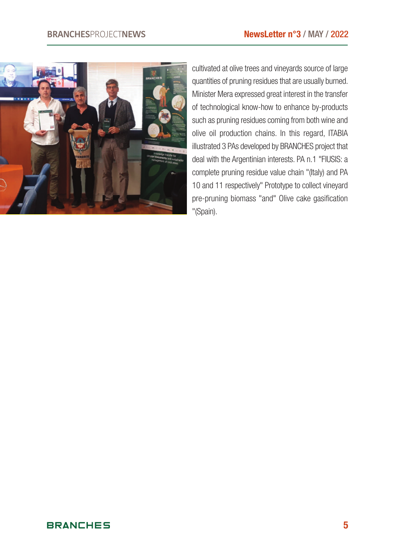

cultivated at olive trees and vineyards source of large quantities of pruning residues that are usually burned. Minister Mera expressed great interest in the transfer of technological know-how to enhance by-products such as pruning residues coming from both wine and olive oil production chains. In this regard, ITABIA illustrated 3 PAs developed by BRANCHES project that deal with the Argentinian interests. PA n.1 "FIUSIS: a complete pruning residue value chain "(Italy) and PA 10 and 11 respectively" Prototype to collect vineyard pre-pruning biomass "and" Olive cake gasification "(Spain).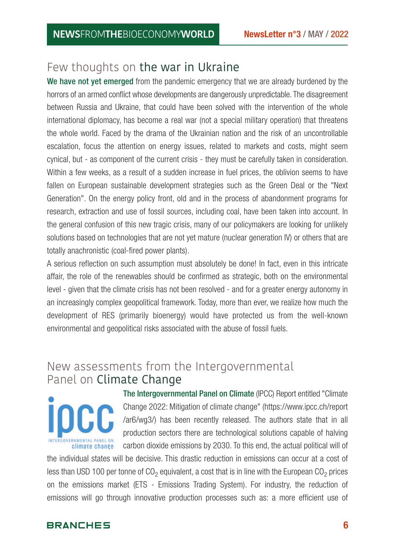# Few thoughts on the war in Ukraine

We have not yet emerged from the pandemic emergency that we are already burdened by the horrors of an armed conflict whose developments are dangerously unpredictable. The disagreement between Russia and Ukraine, that could have been solved with the intervention of the whole international diplomacy, has become a real war (not a special military operation) that threatens the whole world. Faced by the drama of the Ukrainian nation and the risk of an uncontrollable escalation, focus the attention on energy issues, related to markets and costs, might seem cynical, but - as component of the current crisis - they must be carefully taken in consideration. Within a few weeks, as a result of a sudden increase in fuel prices, the oblivion seems to have fallen on European sustainable development strategies such as the Green Deal or the "Next Generation". On the energy policy front, old and in the process of abandonment programs for research, extraction and use of fossil sources, including coal, have been taken into account. In the general confusion of this new tragic crisis, many of our policymakers are looking for unlikely solutions based on technologies that are not yet mature (nuclear generation IV) or others that are totally anachronistic (coal-fired power plants).

A serious reflection on such assumption must absolutely be done! In fact, even in this intricate affair, the role of the renewables should be confirmed as strategic, both on the environmental level - given that the climate crisis has not been resolved - and for a greater energy autonomy in an increasingly complex geopolitical framework. Today, more than ever, we realize how much the development of RES (primarily bioenergy) would have protected us from the well-known environmental and geopolitical risks associated with the abuse of fossil fuels.

# New assessments from the Intergovernmental Panel on Climate Change



The Intergovernmental Panel on Climate (IPCC) Report entitled "Climate Change 2022: Mitigation of climate change" (https://www.ipcc.ch/report /ar6/wg3/) has been recently released. The authors state that in all production sectors there are technological solutions capable of halving carbon dioxide emissions by 2030. To this end, the actual political will of

the individual states will be decisive. This drastic reduction in emissions can occur at a cost of less than USD 100 per tonne of  $CO<sub>2</sub>$  equivalent, a cost that is in line with the European  $CO<sub>2</sub>$  prices on the emissions market (ETS - Emissions Trading System). For industry, the reduction of emissions will go through innovative production processes such as: a more efficient use of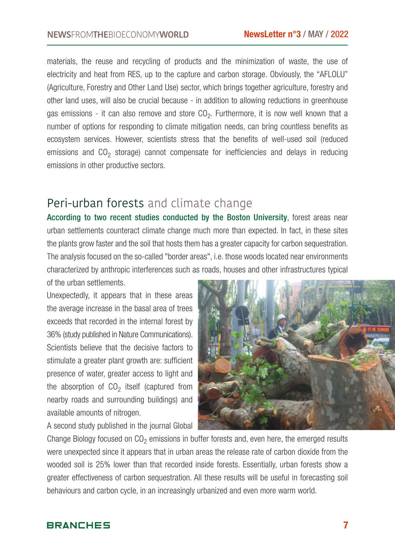materials, the reuse and recycling of products and the minimization of waste, the use of electricity and heat from RES, up to the capture and carbon storage. Obviously, the "AFLOLU" (Agriculture, Forestry and Other Land Use) sector, which brings together agriculture, forestry and other land uses, will also be crucial because - in addition to allowing reductions in greenhouse gas emissions - it can also remove and store  $CO<sub>2</sub>$ . Furthermore, it is now well known that a number of options for responding to climate mitigation needs, can bring countless benefits as ecosystem services. However, scientists stress that the benefits of well-used soil (reduced emissions and  $CO<sub>2</sub>$  storage) cannot compensate for inefficiencies and delays in reducing emissions in other productive sectors.

## Peri-urban forests and climate change

According to two recent studies conducted by the Boston University, forest areas near urban settlements counteract climate change much more than expected. In fact, in these sites the plants grow faster and the soil that hosts them has a greater capacity for carbon sequestration. The analysis focused on the so-called "border areas", i.e. those woods located near environments characterized by anthropic interferences such as roads, houses and other infrastructures typical of the urban settlements.

Unexpectedly, it appears that in these areas the average increase in the basal area of trees exceeds that recorded in the internal forest by 36% (study published in Nature Communications). Scientists believe that the decisive factors to stimulate a greater plant growth are: sufficient presence of water, greater access to light and the absorption of  $CO<sub>2</sub>$  itself (captured from nearby roads and surrounding buildings) and available amounts of nitrogen.

A second study published in the journal Global



Change Biology focused on  $CO<sub>2</sub>$  emissions in buffer forests and, even here, the emerged results were unexpected since it appears that in urban areas the release rate of carbon dioxide from the wooded soil is 25% lower than that recorded inside forests. Essentially, urban forests show a greater effectiveness of carbon sequestration. All these results will be useful in forecasting soil behaviours and carbon cycle, in an increasingly urbanized and even more warm world.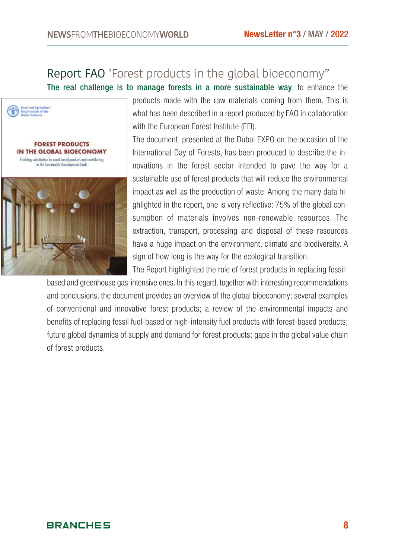# Report FAO "Forest products in the global bioeconomy"

The real challenge is to manage forests in a more sustainable way, to enhance the



products made with the raw materials coming from them. This is what has been described in a report produced by FAO in collaboration with the European Forest Institute (EFI).

The document, presented at the Dubai EXPO on the occasion of the International Day of Forests, has been produced to describe the innovations in the forest sector intended to pave the way for a sustainable use of forest products that will reduce the environmental impact as well as the production of waste. Among the many data highlighted in the report, one is very reflective: 75% of the global consumption of materials involves non-renewable resources. The extraction, transport, processing and disposal of these resources have a huge impact on the environment, climate and biodiversity. A sign of how long is the way for the ecological transition.

The Report highlighted the role of forest products in replacing fossil-

based and greenhouse gas-intensive ones. In this regard, together with interesting recommendations and conclusions, the document provides an overview of the global bioeconomy; several examples of conventional and innovative forest products; a review of the environmental impacts and benefits of replacing fossil fuel-based or high-intensity fuel products with forest-based products; future global dynamics of supply and demand for forest products; gaps in the global value chain of forest products.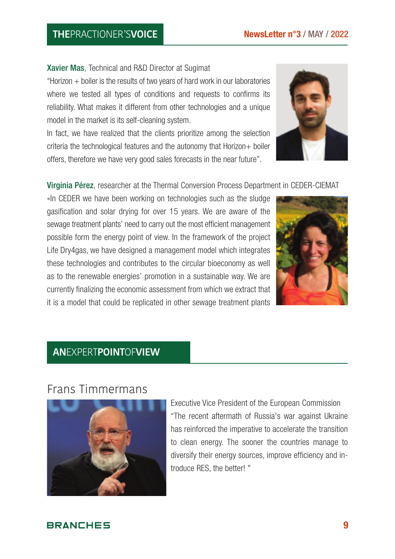### **THE**PRACTIONER'S**VOICE**

Xavier Mas, Technical and R&D Director at Sugimat

"Horizon + boiler is the results of two years of hard work in our laboratories where we tested all types of conditions and requests to confirms its reliability. What makes it different from other technologies and a unique model in the market is its self-cleaning system.

In fact, we have realized that the clients prioritize among the selection criteria the technological features and the autonomy that Horizon+ boiler offers, therefore we have very good sales forecasts in the near future".

Virginia Pérez, researcher at the Thermal Conversion Process Department in CEDER-CIEMAT

«In CEDER we have been working on technologies such as the sludge gasification and solar drying for over 15 years. We are aware of the sewage treatment plants' need to carry out the most efficient management possible form the energy point of view. In the framework of the project Life Dry4gas, we have designed a management model which integrates these technologies and contributes to the circular bioeconomy as well as to the renewable energies' promotion in a sustainable way. We are currently finalizing the economic assessment from which we extract that it is a model that could be replicated in other sewage treatment plants

### **AN**EXPERT**POINT**OF**VIEW**

### Frans Timmermans

Executive Vice President of the European Commission "The recent aftermath of Russia's war against Ukraine has reinforced the imperative to accelerate the transition to clean energy. The sooner the countries manage to diversify their energy sources, improve efficiency and introduce RES, the better! "